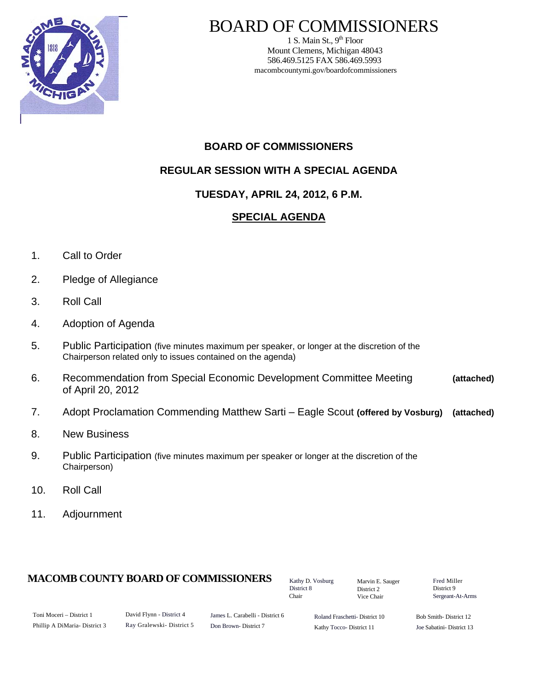

# BOARD OF COMMISSIONERS

1 S. Main St.,  $9<sup>th</sup>$  Floor Mount Clemens, Michigan 48043 586.469.5125 FAX 586.469.5993 macombcountymi.gov/boardofcommissioners

# **BOARD OF COMMISSIONERS**

# **REGULAR SESSION WITH A SPECIAL AGENDA**

# **TUESDAY, APRIL 24, 2012, 6 P.M.**

# **SPECIAL AGENDA**

- 1. Call to Order
- 2. Pledge of Allegiance
- 3. Roll Call
- 4. Adoption of Agenda
- 5. Public Participation (five minutes maximum per speaker, or longer at the discretion of the Chairperson related only to issues contained on the agenda)
- 6. Recommendation from Special Economic Development Committee Meeting **(attached)**  of April 20, 2012
- 7. Adopt Proclamation Commending Matthew Sarti Eagle Scout **(offered by Vosburg) (attached)**
- 8. New Business
- 9. Public Participation (five minutes maximum per speaker or longer at the discretion of the Chairperson)
- 10. Roll Call
- 11. Adjournment

## **MACOMB COUNTY BOARD OF COMMISSIONERS** Factor D. Vosburg Marvin F. Sauger Fred Miller

Kathy D. Vosburg District 8 Chair

Marvin E. Sauger District 2 Vice Chair

District 9 Sergeant-At-Arms

| Toni Moceri – District 1     |  |
|------------------------------|--|
| Phillip A DiMaria-District 3 |  |

David Flynn - District 4 Ray Gralewski- District 5

James L. Carabelli - District 6 Don Brown- District 7

Roland Fraschetti- District 10 Kathy Tocco- District 11

Bob Smith- District 12 Joe Sabatini- District 13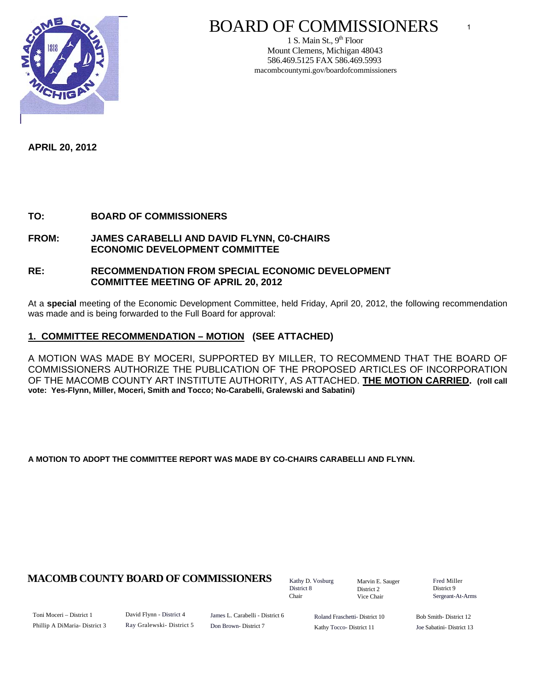

# BOARD OF COMMISSIONERS

1 S. Main St.,  $9<sup>th</sup>$  Floor Mount Clemens, Michigan 48043 586.469.5125 FAX 586.469.5993 macombcountymi.gov/boardofcommissioners

**APRIL 20, 2012** 

### **TO: BOARD OF COMMISSIONERS**

### **FROM: JAMES CARABELLI AND DAVID FLYNN, C0-CHAIRS ECONOMIC DEVELOPMENT COMMITTEE**

### **RE: RECOMMENDATION FROM SPECIAL ECONOMIC DEVELOPMENT COMMITTEE MEETING OF APRIL 20, 2012**

At a **special** meeting of the Economic Development Committee, held Friday, April 20, 2012, the following recommendation was made and is being forwarded to the Full Board for approval:

### **1. COMMITTEE RECOMMENDATION – MOTION (SEE ATTACHED)**

A MOTION WAS MADE BY MOCERI, SUPPORTED BY MILLER, TO RECOMMEND THAT THE BOARD OF COMMISSIONERS AUTHORIZE THE PUBLICATION OF THE PROPOSED ARTICLES OF INCORPORATION OF THE MACOMB COUNTY ART INSTITUTE AUTHORITY, AS ATTACHED. **THE MOTION CARRIED. (roll call vote: Yes-Flynn, Miller, Moceri, Smith and Tocco; No-Carabelli, Gralewski and Sabatini)** 

**A MOTION TO ADOPT THE COMMITTEE REPORT WAS MADE BY CO-CHAIRS CARABELLI AND FLYNN.** 

## **MACOMB COUNTY BOARD OF COMMISSIONERS** Fathy D. Vosburg Martin E. Square Fred Miller

Kathy D. Vosburg District 8 Chair

Marvin E. Sauger District 2 Vice Chair

District 9 Sergeant-At-Arms

Toni Moceri – District 1 Phillip A DiMaria- District 3 David Flynn - District 4 Ray Gralewski- District 5 James L. Carabelli - District 6 Don Brown- District 7

Roland Fraschetti- District 10 Kathy Tocco- District 11

Bob Smith- District 12 Joe Sabatini- District 13

1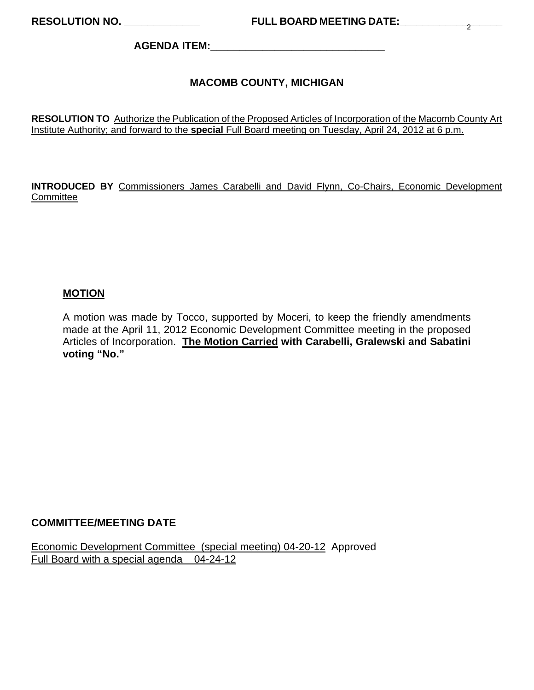**AGENDA ITEM:\_\_\_\_\_\_\_\_\_\_\_\_\_\_\_\_\_\_\_\_\_\_\_\_\_\_\_\_\_\_** 

## **MACOMB COUNTY, MICHIGAN**

**RESOLUTION TO** Authorize the Publication of the Proposed Articles of Incorporation of the Macomb County Art Institute Authority; and forward to the **special** Full Board meeting on Tuesday, April 24, 2012 at 6 p.m.

**INTRODUCED BY** Commissioners James Carabelli and David Flynn, Co-Chairs, Economic Development **Committee** 

### **MOTION**

A motion was made by Tocco, supported by Moceri, to keep the friendly amendments made at the April 11, 2012 Economic Development Committee meeting in the proposed Articles of Incorporation. **The Motion Carried with Carabelli, Gralewski and Sabatini voting "No."** 

### **COMMITTEE/MEETING DATE**

Economic Development Committee (special meeting) 04-20-12 Approved Full Board with a special agenda 04-24-12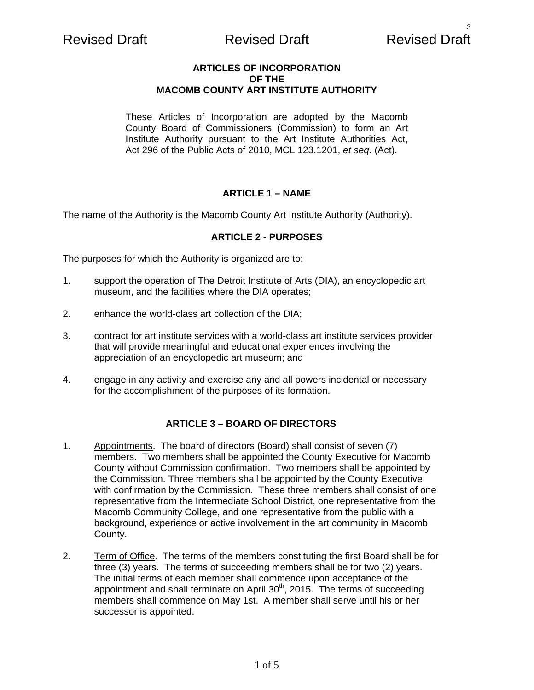# Revised Draft **Revised Draft** Revised Draft Revised Draft

### **ARTICLES OF INCORPORATION OF THE MACOMB COUNTY ART INSTITUTE AUTHORITY**

These Articles of Incorporation are adopted by the Macomb County Board of Commissioners (Commission) to form an Art Institute Authority pursuant to the Art Institute Authorities Act, Act 296 of the Public Acts of 2010, MCL 123.1201, *et seq.* (Act).

## **ARTICLE 1 – NAME**

The name of the Authority is the Macomb County Art Institute Authority (Authority).

### **ARTICLE 2 - PURPOSES**

The purposes for which the Authority is organized are to:

- 1. support the operation of The Detroit Institute of Arts (DIA), an encyclopedic art museum, and the facilities where the DIA operates;
- 2. enhance the world-class art collection of the DIA;
- 3. contract for art institute services with a world-class art institute services provider that will provide meaningful and educational experiences involving the appreciation of an encyclopedic art museum; and
- 4. engage in any activity and exercise any and all powers incidental or necessary for the accomplishment of the purposes of its formation.

## **ARTICLE 3 – BOARD OF DIRECTORS**

- 1. Appointments. The board of directors (Board) shall consist of seven (7) members. Two members shall be appointed the County Executive for Macomb County without Commission confirmation. Two members shall be appointed by the Commission. Three members shall be appointed by the County Executive with confirmation by the Commission. These three members shall consist of one representative from the Intermediate School District, one representative from the Macomb Community College, and one representative from the public with a background, experience or active involvement in the art community in Macomb County.
- 2. Term of Office. The terms of the members constituting the first Board shall be for three (3) years. The terms of succeeding members shall be for two (2) years. The initial terms of each member shall commence upon acceptance of the appointment and shall terminate on April  $30<sup>th</sup>$ , 2015. The terms of succeeding members shall commence on May 1st. A member shall serve until his or her successor is appointed.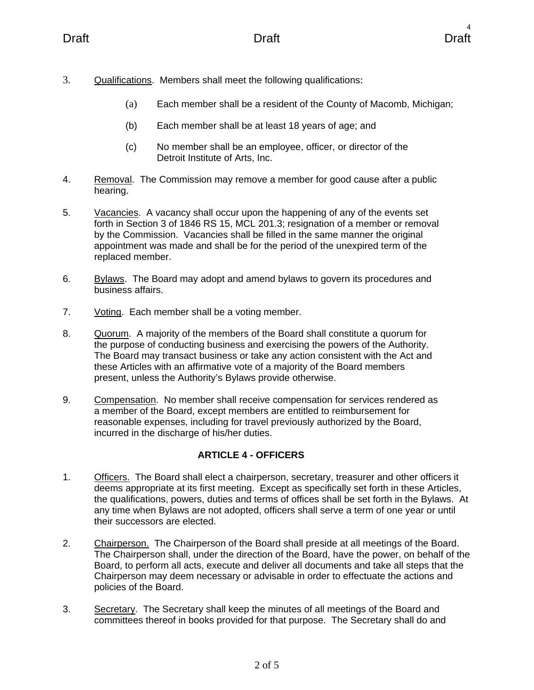- 3. Qualifications. Members shall meet the following qualifications:
	- (a) Each member shall be a resident of the County of Macomb, Michigan;
	- (b) Each member shall be at least 18 years of age; and
	- (c) No member shall be an employee, officer, or director of the Detroit Institute of Arts, Inc.
- 4. Removal. The Commission may remove a member for good cause after a public hearing.
- 5. Vacancies. A vacancy shall occur upon the happening of any of the events set forth in Section 3 of 1846 RS 15, MCL 201.3; resignation of a member or removal by the Commission. Vacancies shall be filled in the same manner the original appointment was made and shall be for the period of the unexpired term of the replaced member.
- 6. Bylaws. The Board may adopt and amend bylaws to govern its procedures and business affairs.
- 7. Voting. Each member shall be a voting member.
- 8. Quorum. A majority of the members of the Board shall constitute a quorum for the purpose of conducting business and exercising the powers of the Authority. The Board may transact business or take any action consistent with the Act and these Articles with an affirmative vote of a majority of the Board members present, unless the Authority's Bylaws provide otherwise.
- 9. Compensation. No member shall receive compensation for services rendered as a member of the Board, except members are entitled to reimbursement for reasonable expenses, including for travel previously authorized by the Board, incurred in the discharge of his/her duties.

# **ARTICLE 4 - OFFICERS**

- 1. Officers. The Board shall elect a chairperson, secretary, treasurer and other officers it deems appropriate at its first meeting. Except as specifically set forth in these Articles, the qualifications, powers, duties and terms of offices shall be set forth in the Bylaws. At any time when Bylaws are not adopted, officers shall serve a term of one year or until their successors are elected.
- 2. Chairperson. The Chairperson of the Board shall preside at all meetings of the Board. The Chairperson shall, under the direction of the Board, have the power, on behalf of the Board, to perform all acts, execute and deliver all documents and take all steps that the Chairperson may deem necessary or advisable in order to effectuate the actions and policies of the Board.
- 3. Secretary. The Secretary shall keep the minutes of all meetings of the Board and committees thereof in books provided for that purpose. The Secretary shall do and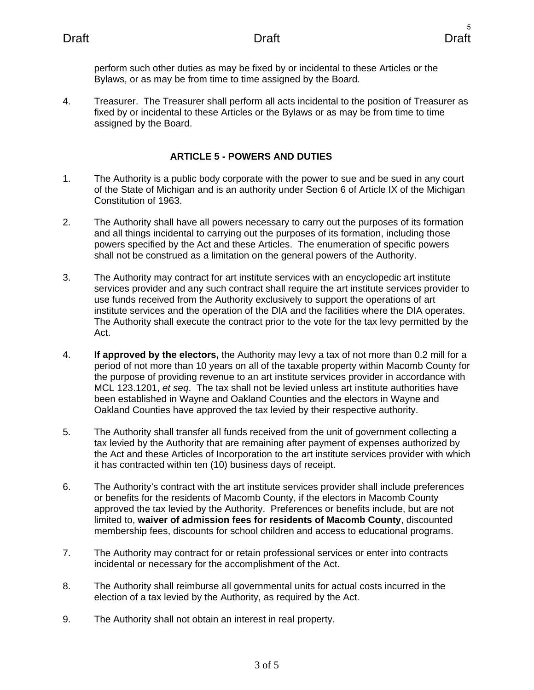perform such other duties as may be fixed by or incidental to these Articles or the Bylaws, or as may be from time to time assigned by the Board.

4. Treasurer. The Treasurer shall perform all acts incidental to the position of Treasurer as fixed by or incidental to these Articles or the Bylaws or as may be from time to time assigned by the Board.

## **ARTICLE 5 - POWERS AND DUTIES**

- 1. The Authority is a public body corporate with the power to sue and be sued in any court of the State of Michigan and is an authority under Section 6 of Article IX of the Michigan Constitution of 1963.
- 2. The Authority shall have all powers necessary to carry out the purposes of its formation and all things incidental to carrying out the purposes of its formation, including those powers specified by the Act and these Articles. The enumeration of specific powers shall not be construed as a limitation on the general powers of the Authority.
- 3. The Authority may contract for art institute services with an encyclopedic art institute services provider and any such contract shall require the art institute services provider to use funds received from the Authority exclusively to support the operations of art institute services and the operation of the DIA and the facilities where the DIA operates. The Authority shall execute the contract prior to the vote for the tax levy permitted by the Act.
- 4. **If approved by the electors,** the Authority may levy a tax of not more than 0.2 mill for a period of not more than 10 years on all of the taxable property within Macomb County for the purpose of providing revenue to an art institute services provider in accordance with MCL 123.1201, *et seq*. The tax shall not be levied unless art institute authorities have been established in Wayne and Oakland Counties and the electors in Wayne and Oakland Counties have approved the tax levied by their respective authority.
- 5. The Authority shall transfer all funds received from the unit of government collecting a tax levied by the Authority that are remaining after payment of expenses authorized by the Act and these Articles of Incorporation to the art institute services provider with which it has contracted within ten (10) business days of receipt.
- 6. The Authority's contract with the art institute services provider shall include preferences or benefits for the residents of Macomb County, if the electors in Macomb County approved the tax levied by the Authority. Preferences or benefits include, but are not limited to, **waiver of admission fees for residents of Macomb County**, discounted membership fees, discounts for school children and access to educational programs.
- 7. The Authority may contract for or retain professional services or enter into contracts incidental or necessary for the accomplishment of the Act.
- 8. The Authority shall reimburse all governmental units for actual costs incurred in the election of a tax levied by the Authority, as required by the Act.
- 9. The Authority shall not obtain an interest in real property.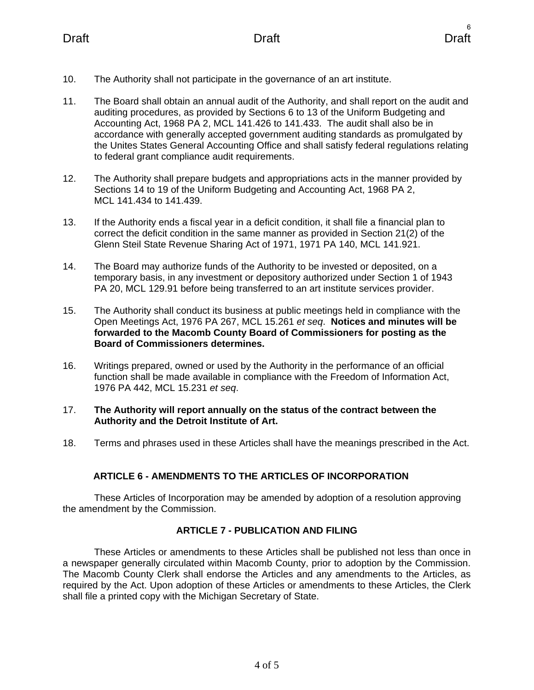- 10. The Authority shall not participate in the governance of an art institute.
- 11. The Board shall obtain an annual audit of the Authority, and shall report on the audit and auditing procedures, as provided by Sections 6 to 13 of the Uniform Budgeting and Accounting Act, 1968 PA 2, MCL 141.426 to 141.433. The audit shall also be in accordance with generally accepted government auditing standards as promulgated by the Unites States General Accounting Office and shall satisfy federal regulations relating to federal grant compliance audit requirements.
- 12. The Authority shall prepare budgets and appropriations acts in the manner provided by Sections 14 to 19 of the Uniform Budgeting and Accounting Act, 1968 PA 2, MCL 141.434 to 141.439.
- 13. If the Authority ends a fiscal year in a deficit condition, it shall file a financial plan to correct the deficit condition in the same manner as provided in Section 21(2) of the Glenn Steil State Revenue Sharing Act of 1971, 1971 PA 140, MCL 141.921.
- 14. The Board may authorize funds of the Authority to be invested or deposited, on a temporary basis, in any investment or depository authorized under Section 1 of 1943 PA 20, MCL 129.91 before being transferred to an art institute services provider.
- 15. The Authority shall conduct its business at public meetings held in compliance with the Open Meetings Act, 1976 PA 267, MCL 15.261 *et seq*. **Notices and minutes will be forwarded to the Macomb County Board of Commissioners for posting as the Board of Commissioners determines.**
- 16. Writings prepared, owned or used by the Authority in the performance of an official function shall be made available in compliance with the Freedom of Information Act, 1976 PA 442, MCL 15.231 *et seq*.

## 17. **The Authority will report annually on the status of the contract between the Authority and the Detroit Institute of Art.**

18. Terms and phrases used in these Articles shall have the meanings prescribed in the Act.

# **ARTICLE 6 - AMENDMENTS TO THE ARTICLES OF INCORPORATION**

These Articles of Incorporation may be amended by adoption of a resolution approving the amendment by the Commission.

# **ARTICLE 7 - PUBLICATION AND FILING**

These Articles or amendments to these Articles shall be published not less than once in a newspaper generally circulated within Macomb County, prior to adoption by the Commission. The Macomb County Clerk shall endorse the Articles and any amendments to the Articles, as required by the Act. Upon adoption of these Articles or amendments to these Articles, the Clerk shall file a printed copy with the Michigan Secretary of State.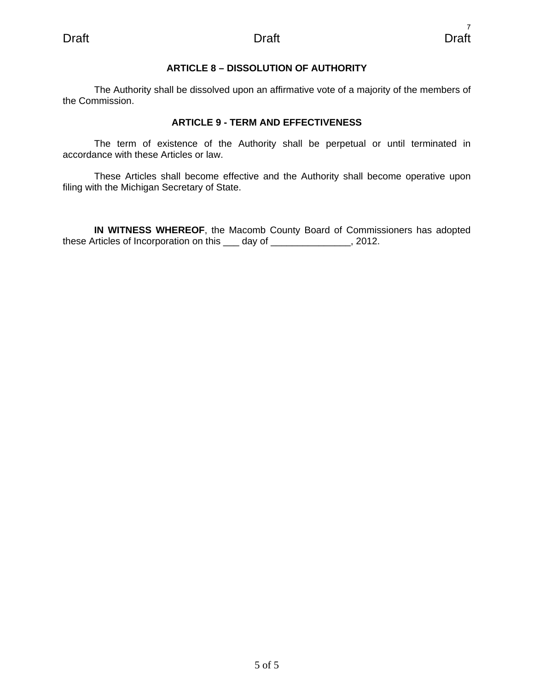### **ARTICLE 8 – DISSOLUTION OF AUTHORITY**

The Authority shall be dissolved upon an affirmative vote of a majority of the members of the Commission.

## **ARTICLE 9 - TERM AND EFFECTIVENESS**

The term of existence of the Authority shall be perpetual or until terminated in accordance with these Articles or law.

These Articles shall become effective and the Authority shall become operative upon filing with the Michigan Secretary of State.

**IN WITNESS WHEREOF**, the Macomb County Board of Commissioners has adopted these Articles of Incorporation on this <u>equal</u> day of <u>equal contracts</u>. 2012.